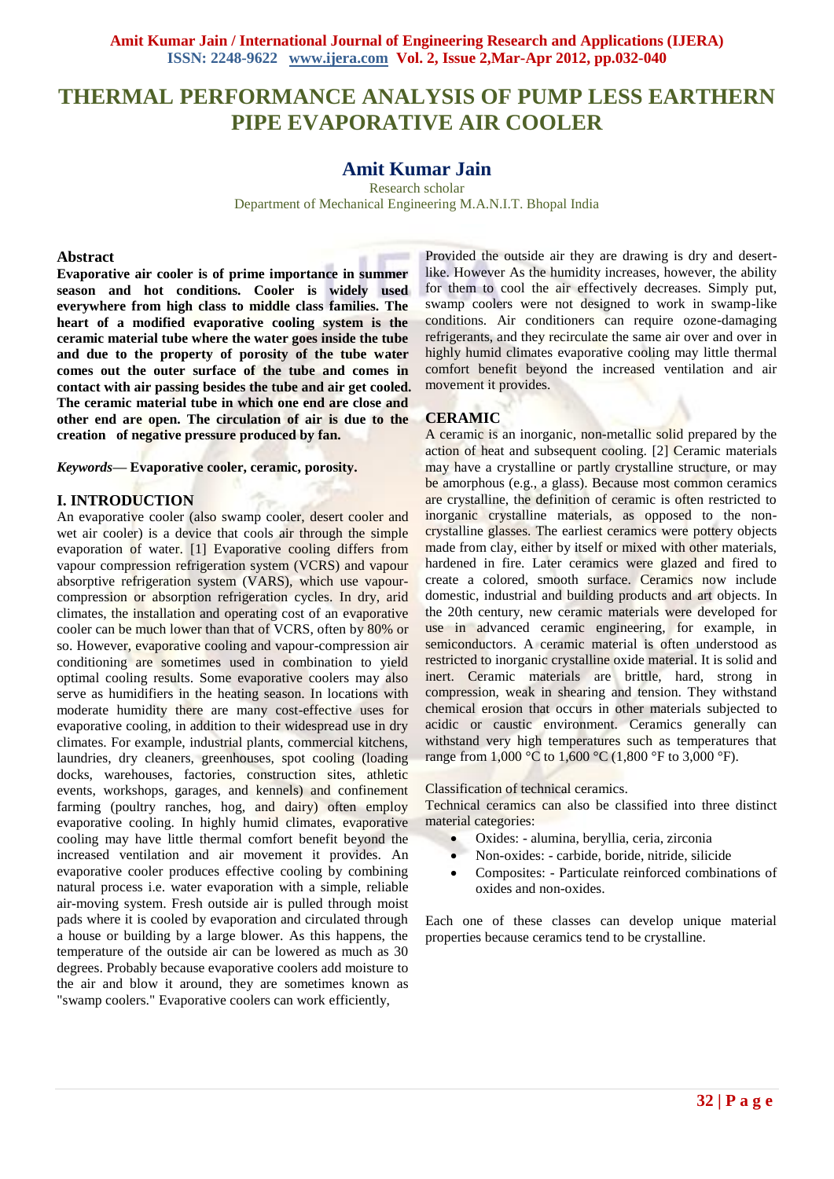# **THERMAL PERFORMANCE ANALYSIS OF PUMP LESS EARTHERN PIPE EVAPORATIVE AIR COOLER**

## **Amit Kumar Jain**

Research scholar

Department of Mechanical Engineering M.A.N.I.T. Bhopal India

#### **Abstract**

**Evaporative air cooler is of prime importance in summer season and hot conditions. Cooler is widely used everywhere from high class to middle class families. The heart of a modified evaporative cooling system is the ceramic material tube where the water goes inside the tube and due to the property of porosity of the tube water comes out the outer surface of the tube and comes in contact with air passing besides the tube and air get cooled. The ceramic material tube in which one end are close and other end are open. The circulation of air is due to the creation of negative pressure produced by fan.** 

*Keywords***— Evaporative cooler, ceramic, porosity.**

#### **I. INTRODUCTION**

An evaporative cooler (also swamp cooler, desert cooler and wet air cooler) is a device that cools air through the simple [evaporation](http://en.wikipedia.org/wiki/Evaporation) of water. [1] Evaporative cooling differs from vapour compression refrigeration system (VCRS) and vapour [absorptive refrigeration](http://en.wikipedia.org/wiki/Absorptive_refrigeration) system (VARS), which use [vapour](http://en.wikipedia.org/wiki/Vapor-compression_refrigeration)[compression](http://en.wikipedia.org/wiki/Vapor-compression_refrigeration) or absorption refrigeration cycles. In dry, arid climates, the installation and operating cost of an evaporative cooler can be much lower than that of VCRS, often by 80% or so. However, evaporative cooling and vapour-compression air conditioning are sometimes used in combination to yield optimal cooling results. Some evaporative coolers may also serve as [humidifiers](http://en.wikipedia.org/wiki/Humidifier) in the heating season. In locations with moderate humidity there are many cost-effective uses for evaporative cooling, in addition to their widespread use in dry climates. For example, industrial plants, commercial kitchens, [laundries,](http://en.wikipedia.org/wiki/Industrial_laundry) [dry cleaners,](http://en.wikipedia.org/wiki/Dry_cleaners) [greenhouses,](http://en.wikipedia.org/wiki/Greenhouse) spot cooling (loading docks, warehouses, factories, construction sites, athletic events, workshops, garages, and kennels) and confinement farming (poultry ranches, hog, and dairy) often employ evaporative cooling. In highly humid climates, evaporative cooling may have little [thermal comfort](http://en.wikipedia.org/wiki/Thermal_comfort) benefit beyond the increased [ventilation](http://en.wikipedia.org/wiki/Ventilation_(architecture)) and air movement it provides. An evaporative cooler produces effective cooling by combining natural process i.e. water evaporation with a simple, reliable air-moving system. Fresh outside air is pulled through moist pads where it is cooled by evaporation and circulated through a house or building by a large blower. As this happens, the temperature of the outside air can be lowered as much as 30 degrees. Probably because evaporative coolers add moisture to the air and blow it around, they are sometimes known as "swamp coolers." Evaporative coolers can work efficiently,

Provided the outside air they are drawing is dry and desertlike. However As the humidity increases, however, the ability for them to cool the air effectively decreases. Simply put, swamp coolers were not designed to work in swamp-like conditions. Air conditioners can require ozone-damaging refrigerants, and they recirculate the same air over and over in highly humid climates evaporative cooling may little thermal comfort benefit beyond the increased ventilation and air movement it provides.

#### **CERAMIC**

A ceramic is an [inorganic,](http://en.wikipedia.org/wiki/Inorganic) [non-metallic](http://en.wikipedia.org/wiki/Nonmetal) [solid](http://en.wikipedia.org/wiki/Solid) prepared by the action of [heat](http://en.wikipedia.org/wiki/Heat) and subsequent cooling. [2] Ceramic materials may have a [crystalline](http://en.wikipedia.org/wiki/Crystalline) or partly crystalline structure, or may be [amorphous](http://en.wikipedia.org/wiki/Amorphous) (e.g., a [glass\)](http://en.wikipedia.org/wiki/Glass). Because most common ceramics are crystalline, the definition of ceramic is often restricted to inorganic crystalline materials, as opposed to the noncrystalline glasses. The earliest ceramics were [pottery](http://en.wikipedia.org/wiki/Pottery) objects made from [clay,](http://en.wikipedia.org/wiki/Clay) either by itself or mixed with other materials, hardened in fire. Later ceramics were glazed and fired to create a colored, smooth surface. Ceramics now include domestic, industrial and building products and [art objects.](http://en.wikipedia.org/wiki/Ceramic_art) In the 20th century, new [ceramic materials](http://en.wikipedia.org/wiki/Ceramic_materials) were developed for use in advanced [ceramic engineering,](http://en.wikipedia.org/wiki/Ceramic_engineering) for example, in [semiconductors.](http://en.wikipedia.org/wiki/Semiconductor) A ceramic material is often understood as restricted to inorganic crystalline oxide material. It is solid and inert. Ceramic materials are brittle, hard, strong in compression, weak in [shearing](http://en.wikipedia.org/wiki/Shear_stress) and tension. They withstand chemical erosion that occurs in other materials subjected to acidic or caustic environment. Ceramics generally can withstand very high temperatures such as temperatures that range from 1,000 °C to 1,600 °C (1,800 °F to 3,000 °F).

Classification of technical ceramics.

Technical ceramics can also be classified into three distinct material categories:

- [Oxides:](http://en.wikipedia.org/wiki/Oxide) [alumina,](http://en.wikipedia.org/wiki/Alumina) [beryllia,](http://en.wikipedia.org/wiki/Beryllia) [ceria,](http://en.wikipedia.org/wiki/Ceria) [zirconia](http://en.wikipedia.org/wiki/Zirconia)
- Non-oxides: [carbide,](http://en.wikipedia.org/wiki/Carbide) [boride,](http://en.wikipedia.org/wiki/Boride) [nitride,](http://en.wikipedia.org/wiki/Nitride) [silicide](http://en.wikipedia.org/wiki/Silicide)
- [Composites:](http://en.wikipedia.org/wiki/Mixture) Particulate reinforced combinations of oxides and non-oxides.

Each one of these classes can develop unique material properties because ceramics tend to be crystalline.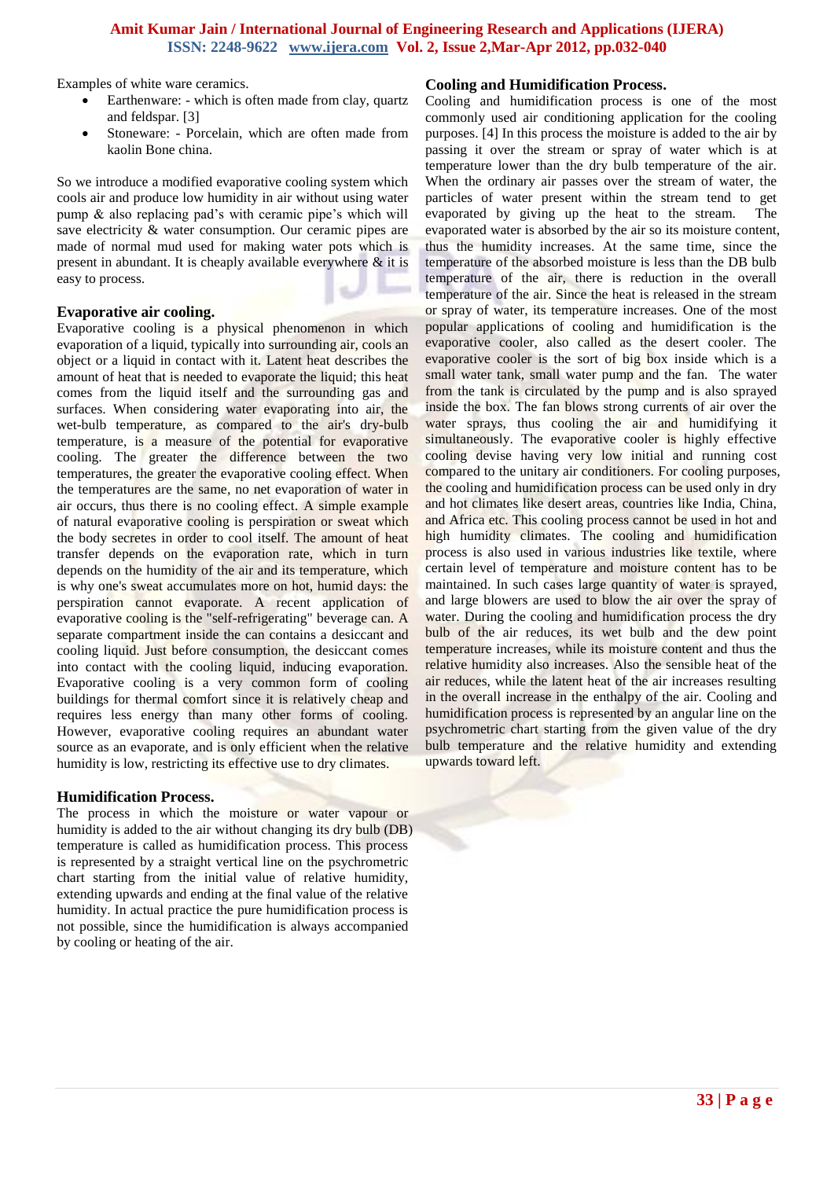Examples of white ware ceramics.

- [Earthenware:](http://en.wikipedia.org/wiki/Earthenware) which is often made from clay, [quartz](http://en.wikipedia.org/wiki/Quartz) and [feldspar.](http://en.wikipedia.org/wiki/Feldspar) [3]
- [Stoneware:](http://en.wikipedia.org/wiki/Stoneware) [Porcelain,](http://en.wikipedia.org/wiki/Porcelain) which are often made from [kaolin](http://en.wikipedia.org/wiki/Kaolin) [Bone china.](http://en.wikipedia.org/wiki/Bone_china)

So we introduce a modified evaporative cooling system which cools air and produce low humidity in air without using water pump  $\&$  also replacing pad's with ceramic pipe's which will save electricity & water consumption. Our ceramic pipes are made of normal mud used for making water pots which is present in abundant. It is cheaply available everywhere & it is easy to process.

### **Evaporative air cooling.**

Evaporative cooling is a physical phenomenon in which [evaporation](http://en.wikipedia.org/wiki/Evaporation) of a liquid, typically into surrounding air, cools an object or a liquid in contact with it. [Latent heat](http://en.wikipedia.org/wiki/Latent_heat) describes the amount of heat that is needed to evaporate the liquid; this heat comes from the liquid itself and the surrounding gas and surfaces. When considering water evaporating into air, the [wet-bulb temperature,](http://en.wikipedia.org/wiki/Wet-bulb_temperature) as compared to the air's [dry-bulb](http://en.wikipedia.org/wiki/Dry-bulb_temperature)  [temperature,](http://en.wikipedia.org/wiki/Dry-bulb_temperature) is a measure of the potential for evaporative cooling. The greater the difference between the two temperatures, the greater the evaporative cooling effect. When the temperatures are the same, no net evaporation of water in air occurs, thus there is no cooling effect. A simple example of natural evaporative cooling is [perspiration](http://en.wikipedia.org/wiki/Perspiration) or sweat which the body secretes in order to cool itself. The amount of heat transfer depends on the evaporation rate, which in turn depends on the [humidity](http://en.wikipedia.org/wiki/Humidity) of the air and its temperature, which is why one's sweat accumulates more on hot, humid days: the perspiration cannot evaporate. A recent application of evaporative cooling is the "self-refrigerating" beverage can. A separate compartment inside the can contains a [desiccant](http://en.wikipedia.org/wiki/Desiccant) and cooling liquid. Just before consumption, the desiccant comes into contact with the cooling liquid, inducing evaporation. Evaporative cooling is a very common form of cooling buildings for [thermal comfort](http://en.wikipedia.org/wiki/Thermal_comfort) since it is relatively cheap and requires less energy than many other forms of cooling. However, evaporative cooling requires an abundant water source as an evaporate, and is only efficient when the relative humidity is low, restricting its effective use to dry climates.

### **Humidification Process.**

The process in which the [moisture](http://www.brighthub.com/engineering/mechanical/articles/41447.aspx) or water vapour or [humidity](http://www.brighthub.com/engineering/mechanical/articles/41447.aspx) is added to the air without changing its dry bulb (DB) temperature is called as humidification process. This process is represented by a straight vertical line on the psychrometric chart starting from the initial value of relative humidity, extending upwards and ending at the final value of the relative humidity. In actual practice the pure humidification process is not possible, since the humidification is always accompanied by cooling or heating of the air.

#### **Cooling and Humidification Process.**

Cooling and humidification process is one of the most commonly used air conditioning application for the cooling purposes. [4] In this process the moisture is added to the air by passing it over the stream or spray of [water](http://www.brighthub.com/engineering/mechanical/articles/41447.aspx) which is at temperature lower than the dry bulb temperature of the air. When the ordinary air passes over the stream of water, the particles of water present within the stream tend to get evaporated by giving up the heat to the stream. The evaporated water is absorbed by the air so its moisture content, thus the humidity increases. At the same time, since the temperature of the absorbed moisture is less than the DB bulb temperature of the air, there is reduction in the overall temperature of the air. Since the heat is released in the stream or spray of water, its temperature increases. One of the most popular applications of cooling and humidification is the evaporative cooler, also called as the desert cooler. The evaporative cooler is the sort of big box inside which is a small water tank, small water pump and the fan. The water from the tank is circulated by the pump and is also sprayed inside the box. The fan blows strong currents of air over the water sprays, thus cooling the air and humidifying it simultaneously. The evaporative cooler is highly effective cooling devise having very low initial and running cost compared to the unitary air conditioners. For cooling purposes, the cooling and humidification process can be used only in dry and hot climates like desert areas, countries like India, China, and Africa etc. This cooling process cannot be used in hot and high humidity climates. The cooling and humidification process is also used in various industries like textile, where certain level of temperature and moisture content has to be maintained. In such cases large quantity of water is sprayed, and large blowers are used to blow the air over the spray of water. During the cooling and humidification process the dry bulb of the air reduces, its wet bulb and the dew point temperature increases, while its moisture content and thus the relative humidity also increases. Also the sensible heat of the air reduces, while the latent heat of the air increases resulting in the overall increase in the enthalpy of the air. Cooling and humidification process is represented by an angular line on the psychrometric chart starting from the given value of the dry bulb temperature and the relative humidity and extending upwards toward left.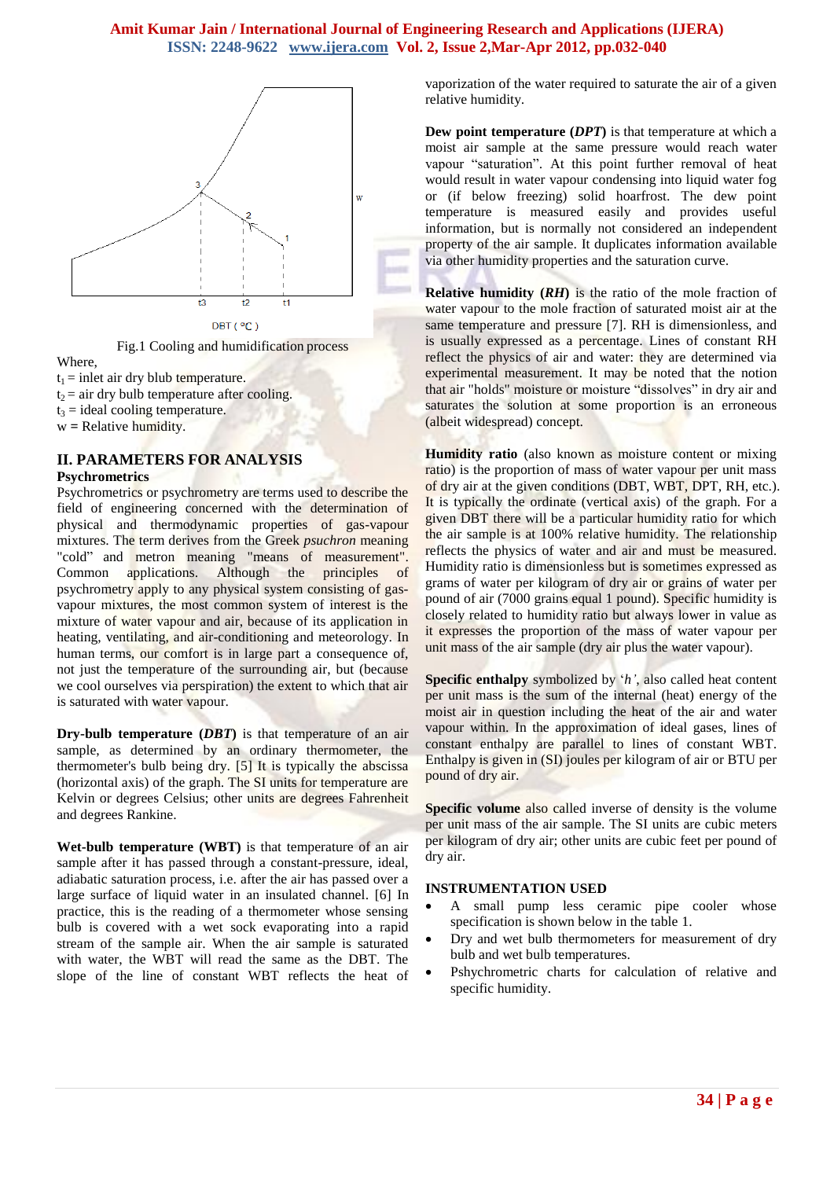



Fig.1 Cooling and humidification process

Where,

 $t_1$  = inlet air dry blub temperature.

 $t_2$  = air dry bulb temperature after cooling.

 $t_3$  = ideal cooling temperature.

## w **=** Relative humidity.

#### **II. PARAMETERS FOR ANALYSIS Psychrometrics**

Psychrometrics or psychrometry are terms used to describe the field of engineering concerned with the determination of physical and thermodynamic properties of gas-vapour mixtures. The term derives from the Greek *psuchron* meaning "cold" and metron meaning "means of measurement". Common applications. Although the principles of psychrometry apply to any physical system consisting of gasvapour mixtures, the most common system of interest is the mixture of water vapour and air, because of its application in [heating, ventilating, and air-conditioning](http://en.wikipedia.org/wiki/HVAC) and [meteorology.](http://en.wikipedia.org/wiki/Meteorology) In human terms, our comfort is in large part a consequence of, not just the temperature of the surrounding air, but (because we cool ourselves via perspiration) the extent to which that air is saturated with water vapour.

**[Dry-bulb temperature](http://en.wikipedia.org/wiki/Dry-bulb_temperature) (***DBT***)** is that temperature of an air sample, as determined by an ordinary thermometer, the thermometer's bulb being dry. [5] It is typically the [abscissa](http://en.wikipedia.org/wiki/X-axis)  [\(horizontal axis\)](http://en.wikipedia.org/wiki/X-axis) of the graph. The SI units for temperature are [Kelvin](http://en.wikipedia.org/wiki/Kelvin) or [degrees Celsius;](http://en.wikipedia.org/wiki/Degrees_Celsius) other units are [degrees Fahrenheit](http://en.wikipedia.org/wiki/Degrees_Fahrenheit) and [degrees Rankine.](http://en.wikipedia.org/wiki/Degrees_Rankine)

**[Wet-bulb temperature](http://en.wikipedia.org/wiki/Wet-bulb_temperature) (WBT)** is that temperature of an air sample after it has passed through a constant-pressure, ideal, adiabatic saturation process, i.e. after the air has passed over a large surface of liquid water in an insulated channel. [6] In practice, this is the reading of a thermometer whose sensing bulb is covered with a wet sock evaporating into a rapid stream of the sample air. When the air sample is saturated with water, the WBT will read the same as the DBT. The slope of the line of constant WBT reflects the heat of

vaporization of the water required to saturate the air of a given relative humidity.

**[Dew point](http://en.wikipedia.org/wiki/Dew_point) temperature (***DPT***)** is that temperature at which a moist air sample at the same pressure would reach water vapour "saturation". At this point further removal of heat would result in water vapour condensing into liquid water fog or (if below freezing) solid hoarfrost. The dew point temperature is measured easily and provides useful information, but is normally not considered an independent property of the air sample. It duplicates information available via other humidity properties and the saturation curve.

**[Relative humidity](http://en.wikipedia.org/wiki/Relative_humidity) (***RH***)** is the ratio of the mole fraction of water vapour to the mole fraction of saturated moist air at the same temperature and pressure [7]. RH is dimensionless, and is usually expressed as a percentage. Lines of constant RH reflect the physics of air and water: they are determined via experimental measurement. It may be noted that the notion that air "holds" moisture or moisture "dissolves" in dry air and saturates the solution at some proportion is an erroneous (albeit widespread) concept.

**[Humidity ratio](http://en.wikipedia.org/wiki/Mixing_ratio)** (also known as moisture content or mixing ratio) is the proportion of mass of water vapour per unit mass of dry air at the given conditions (DBT, WBT, DPT, RH, etc.). It is typically the [ordinate \(vertical axis\)](http://en.wikipedia.org/wiki/Y-axis) of the graph. For a given DBT there will be a particular humidity ratio for which the air sample is at 100% relative humidity. The relationship reflects the physics of water and air and must be measured. Humidity ratio is dimensionless but is sometimes expressed as grams of water per kilogram of dry air or grains of water per pound of air (7000 grains equal 1 pound). Specific humidity is closely related to humidity ratio but always lower in value as it expresses the proportion of the mass of water vapour per unit mass of the air sample (dry air plus the water vapour).

**[Specific enthalpy](http://en.wikipedia.org/wiki/Enthalpy)** symbolized by "*h'*, also called heat content per unit mass is the sum of the internal (heat) energy of the moist air in question including the heat of the air and water vapour within. In the approximation of ideal gases, lines of constant enthalpy are parallel to lines of constant WBT. Enthalpy is given in (SI) joules per kilogram of air or BTU per pound of dry air.

**[Specific volume](http://en.wikipedia.org/wiki/Specific_volume)** also called inverse of density is the volume per unit mass of the air sample. The SI units are cubic meters per kilogram of dry air; other units are cubic feet per pound of dry air.

#### **INSTRUMENTATION USED**

- A small pump less ceramic pipe cooler whose specification is shown below in the table 1.
- Dry and wet bulb thermometers for measurement of dry bulb and wet bulb temperatures.
- Pshychrometric charts for calculation of relative and specific humidity.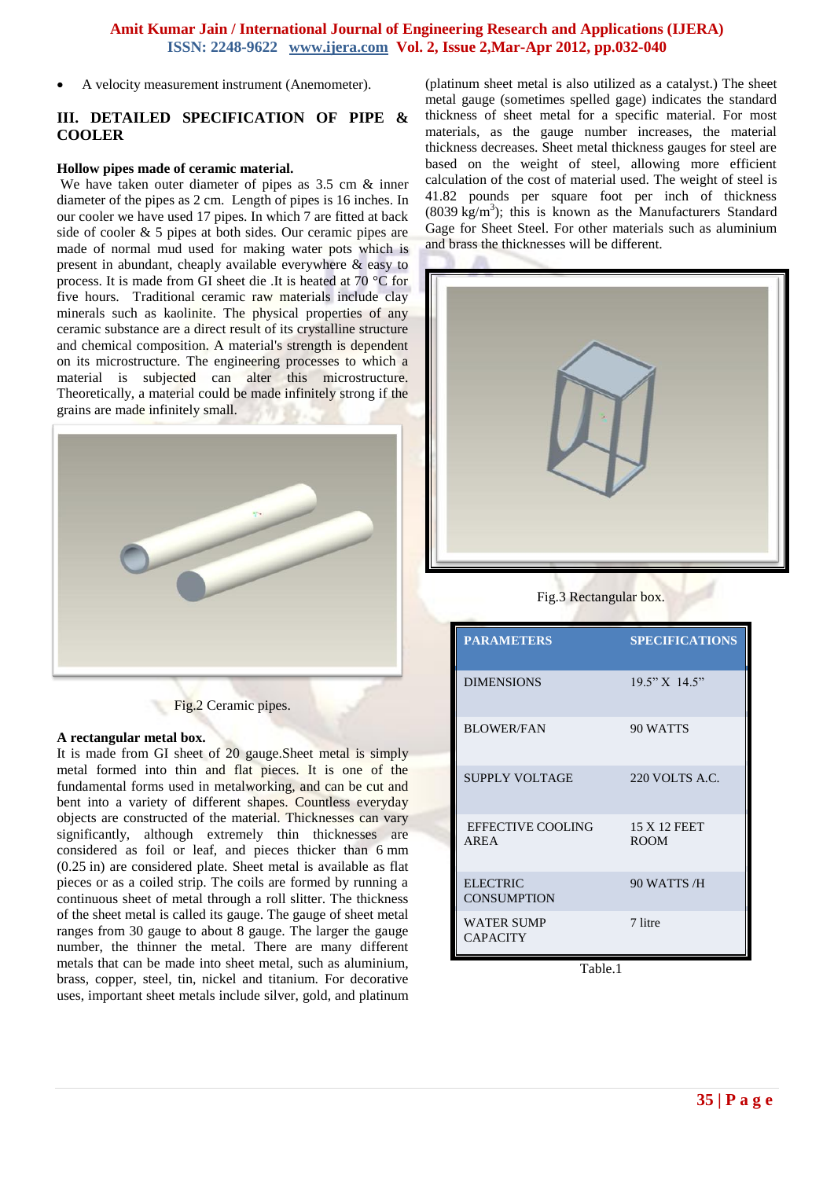A velocity measurement instrument (Anemometer).

### **III. DETAILED SPECIFICATION OF PIPE & COOLER**

#### **Hollow pipes made of ceramic material.**

We have taken outer diameter of pipes as 3.5 cm & inner diameter of the pipes as 2 cm. Length of pipes is 16 inches. In our cooler we have used 17 pipes. In which 7 are fitted at back side of cooler & 5 pipes at both sides. Our ceramic pipes are made of normal mud used for making water pots which is present in abundant, cheaply available everywhere & easy to process. It is made from GI sheet die .It is heated at 70 °C for five hours. Traditional ceramic raw materials include clay minerals such as kaolinite. The physical properties of any ceramic substance are a direct result of its crystalline structure and chemical composition. A material's strength is dependent on its microstructure. The engineering processes to which a material is subjected can alter this microstructure. Theoretically, a material could be made infinitely strong if the grains are made infinitely small.



Fig.2 Ceramic pipes.

#### **A rectangular metal box.**

It is made from GI sheet of 20 gauge.Sheet metal is simply [metal](http://en.wikipedia.org/wiki/Metal) formed into thin and flat pieces. It is one of the fundamental forms used in [metalworking,](http://en.wikipedia.org/wiki/Metalworking) and can be cut and bent into a variety of different shapes. Countless everyday objects are constructed of the material. Thicknesses can vary significantly, although extremely thin thicknesses are considered as [foil](http://en.wikipedia.org/wiki/Foil) or [leaf,](http://en.wikipedia.org/wiki/Metal_leaf) and pieces thicker than 6 mm (0.25 in) are considered [plate.](http://en.wikipedia.org/wiki/Structural_steel) Sheet metal is available as flat pieces or as a coiled strip. The coils are formed by running a continuous sheet of metal through a [roll slitter.](http://en.wikipedia.org/wiki/Roll_slitting) The thickness of the sheet metal is called its [gauge.](http://en.wikipedia.org/wiki/Sheet_metal_gauge) The gauge of sheet metal ranges from 30 gauge to about 8 gauge. The larger the gauge number, the thinner the metal. There are many different metals that can be made into sheet metal, such as [aluminium,](http://en.wikipedia.org/wiki/Aluminum) [brass,](http://en.wikipedia.org/wiki/Brass) [copper,](http://en.wikipedia.org/wiki/Copper) [steel,](http://en.wikipedia.org/wiki/Steel) [tin,](http://en.wikipedia.org/wiki/Tin) [nickel](http://en.wikipedia.org/wiki/Nickel) and [titanium.](http://en.wikipedia.org/wiki/Titanium) For decorative uses, important sheet metals include [silver,](http://en.wikipedia.org/wiki/Silver) [gold,](http://en.wikipedia.org/wiki/Gold) and [platinum](http://en.wikipedia.org/wiki/Platinum)

(platinum sheet metal is also utilized as a [catalyst.](http://en.wikipedia.org/wiki/Catalyst)) The sheet metal gauge (sometimes spelled gage) indicates the standard thickness of sheet metal for a specific material. For most materials, as the gauge number increases, the material thickness decreases. Sheet metal thickness gauges for steel are based on the weight of steel, allowing more efficient calculation of the cost of material used. The weight of steel is 41.82 pounds per square foot per inch of thickness  $(8039 \text{ kg/m}^3)$ ; this is known as the Manufacturers Standard Gage for Sheet Steel. For other materials such as aluminium and brass the thicknesses will be different.



Fig.3 Rectangular box.

| <b>PARAMETERS</b>                     | <b>SPECIFICATIONS</b>       |
|---------------------------------------|-----------------------------|
| <b>DIMENSIONS</b>                     | 19.5" X 14.5"               |
| <b>BLOWER/FAN</b>                     | 90 WATTS                    |
| <b>SUPPLY VOLTAGE</b>                 | 220 VOLTS A.C.              |
| <b>EFFECTIVE COOLING</b><br>AREA      | 15 X 12 FEET<br><b>ROOM</b> |
| <b>ELECTRIC</b><br><b>CONSUMPTION</b> | 90 WATTS /H                 |
| <b>WATER SUMP</b><br><b>CAPACITY</b>  | 7 litre                     |

Table.1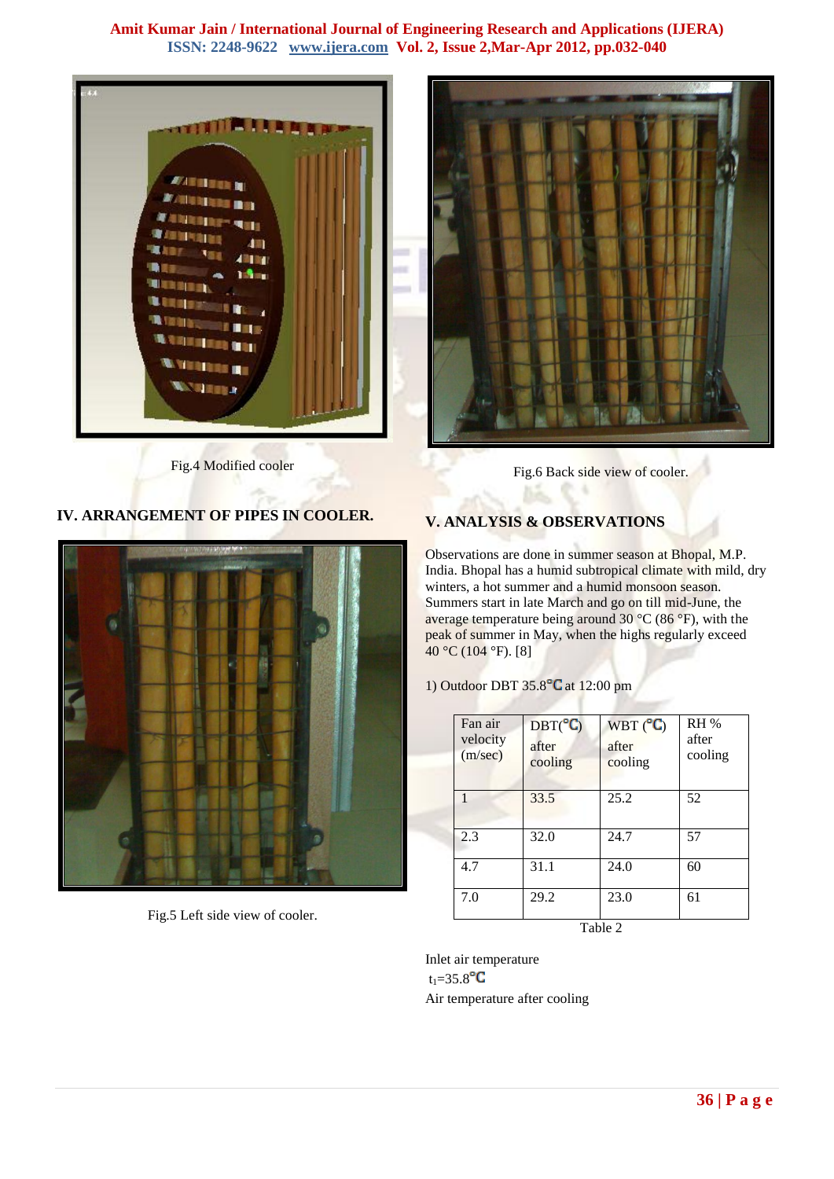

Fig.4 Modified cooler



Fig.6 Back side view of cooler.

## **IV. ARRANGEMENT OF PIPES IN COOLER.**



Fig.5 Left side view of cooler.

## **V. ANALYSIS & OBSERVATIONS**

Observations are done in summer season at Bhopal, M.P. India. Bhopal has a [humid subtropical climate](http://en.wikipedia.org/wiki/Humid_subtropical_climate) with mild, dry winters, a hot summer and a humid monsoon season. Summers start in late March and go on till mid-June, the average temperature being around 30 °C (86 °F), with the peak of summer in May, when the highs regularly exceed  $40 °C (104 °F)$ . [8]

1) Outdoor DBT  $35.8^{\circ}$ C at 12:00 pm

| Fan air<br>velocity<br>(m/sec) | $DBT(^{\circ}C)$<br>after<br>cooling | WBT (°C)<br>after<br>cooling | <b>RH</b> %<br>after<br>cooling |
|--------------------------------|--------------------------------------|------------------------------|---------------------------------|
|                                | 33.5                                 | 25.2                         | 52                              |
| 2.3                            | 32.0                                 | 24.7                         | 57                              |
| 4.7                            | 31.1                                 | 24.0                         | 60                              |
| 7.0                            | 29.2                                 | 23.0                         | 61                              |

Table 2

Inlet air temperature  $t_1 = 35.8$ <sup>o</sup>C Air temperature after cooling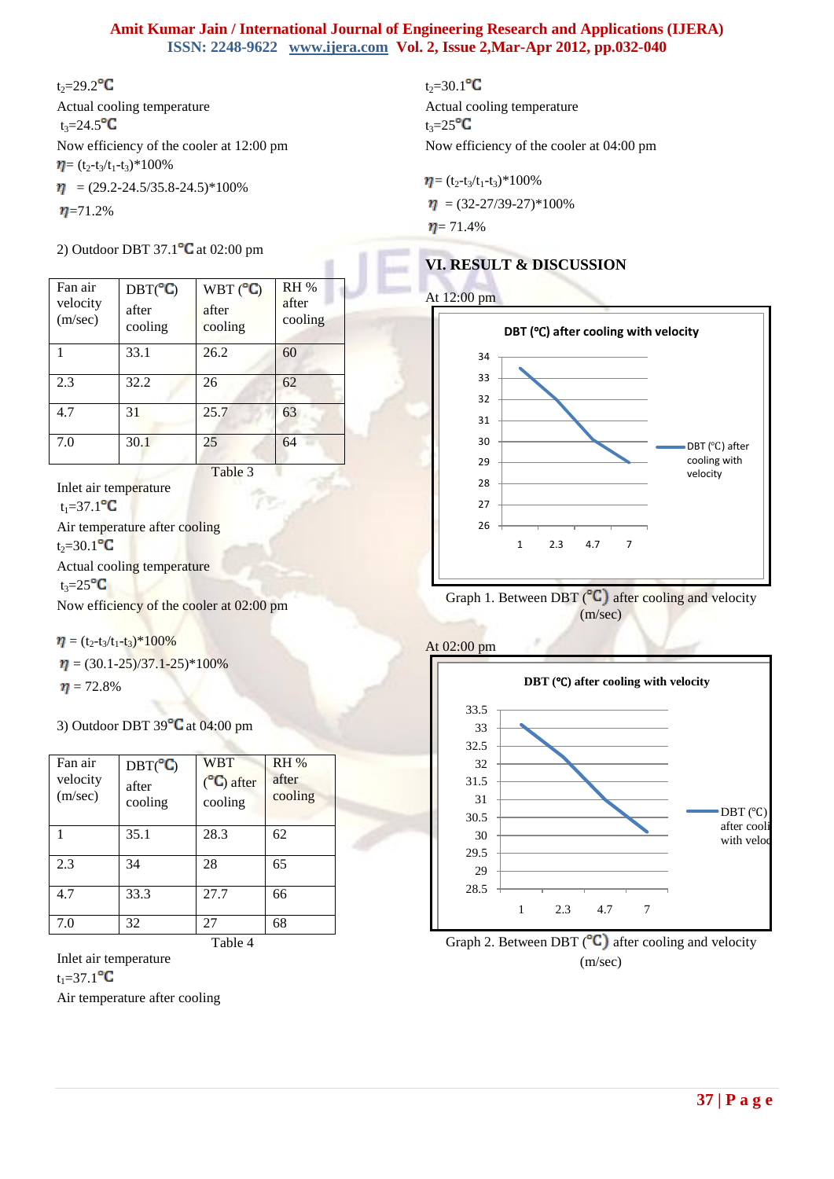$t_2 = 29.2$ <sup>o</sup>C Actual cooling temperature  $t_3=24.5$ <sup>o</sup>C Now efficiency of the cooler at 12:00 pm  $\eta = (t_2-t_3/t_1-t_3)*100\%$  $\eta$  = (29.2-24.5/35.8-24.5)\*100%  $n = 71.2%$ 

## 2) Outdoor DBT  $37.1^{\circ}$ C at 02:00 pm

| Fan air<br>velocity<br>(m/sec) | $DBT(^{\circ}C)$<br>after<br>cooling | WBT (°C)<br>after<br>cooling | $RH$ %<br>after<br>cooling |
|--------------------------------|--------------------------------------|------------------------------|----------------------------|
|                                | 33.1                                 | 26.2                         | 60                         |
| 2.3                            | 32.2                                 | 26                           | 62                         |
| 4.7                            | 31                                   | 25.7                         | 63                         |
| 7.0                            | 30.1                                 | 25                           | 64                         |

Table 3

Inlet air temperature  $t_1 = 37.1$ <sup>o</sup>C Air temperature after cooling  $t_2 = 30.1$ <sup>o</sup>C Actual cooling temperature  $t_3=25$ <sup>o</sup>C Now efficiency of the cooler at 02:00 pm

 $\eta = (t_2-t_3/t_1-t_3)*100\%$  $\eta = (30.1 - 25)/37.1 - 25)^*100\%$  $\eta = 72.8\%$ 

3) Outdoor DBT  $39^{\circ}C$  at 04:00 pm

| Fan air<br>velocity<br>(m/sec) | $DBT(^{\circ}C)$<br>after<br>cooling | WBT<br>$C$ ) after<br>cooling | $RH$ %<br>after<br>cooling |
|--------------------------------|--------------------------------------|-------------------------------|----------------------------|
|                                | 35.1                                 | 28.3                          | 62                         |
| 2.3                            | 34                                   | 28                            | 65                         |
| 4.7                            | 33.3                                 | 27.7                          | 66                         |
| 7.0                            | 32                                   | 27<br>.                       | 68                         |

Table 4

Inlet air temperature  $t_1=37.1$ <sup>o</sup>C Air temperature after cooling  $t_2 = 30.1$ <sup>o</sup>C

Actual cooling temperature  $t_3=25^\circ \text{C}$ Now efficiency of the cooler at 04:00 pm

 $\eta = (t_2-t_3/t_1-t_3)*100\%$  $\eta = (32 - 27/39 - 27)^*100\%$  $\eta = 71.4\%$ 

## **VI. RESULT & DISCUSSION**

At 12:00 pm



Graph 1. Between DBT  $(^{\circ}C)$  after cooling and velocity (m/sec)





Graph 2. Between DBT  $(^{\circ}C)$  after cooling and velocity (m/sec)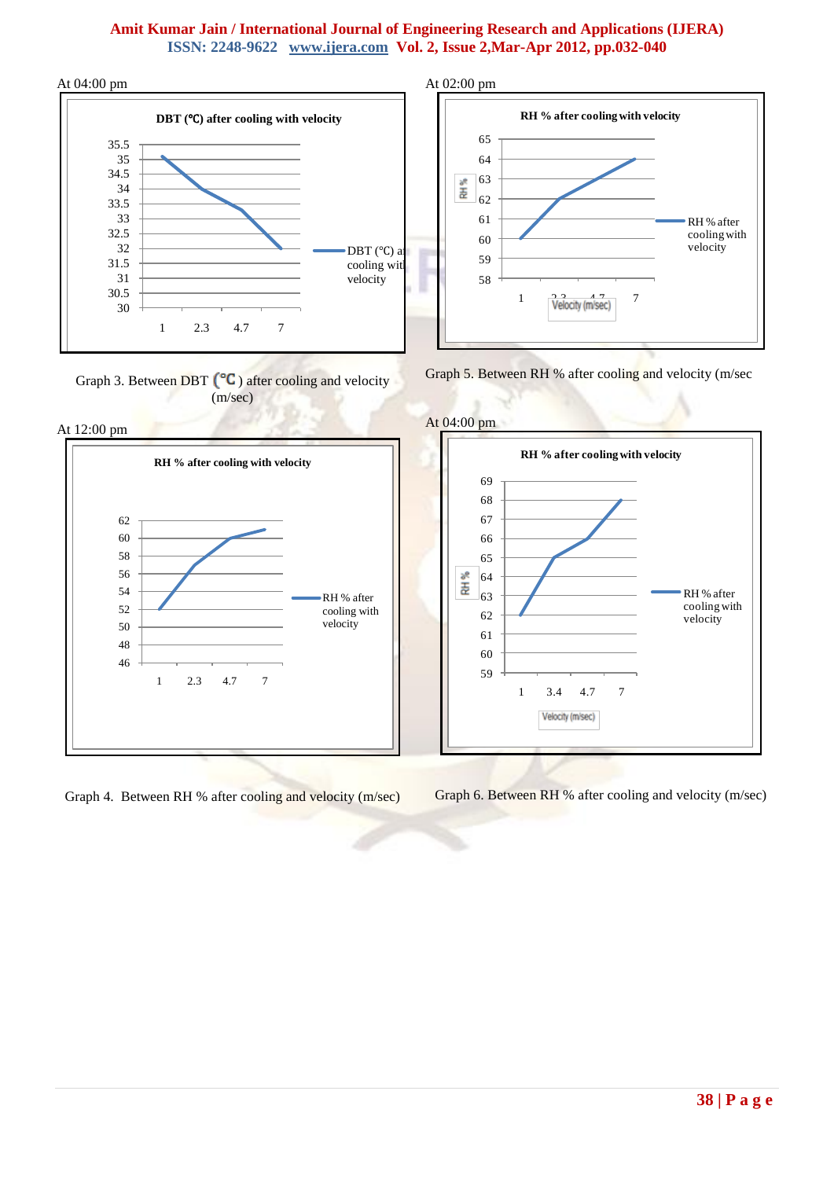







Graph 4. Between RH % after cooling and velocity (m/sec)



Graph 5. Between RH % after cooling and velocity (m/sec





Graph 6. Between RH % after cooling and velocity (m/sec)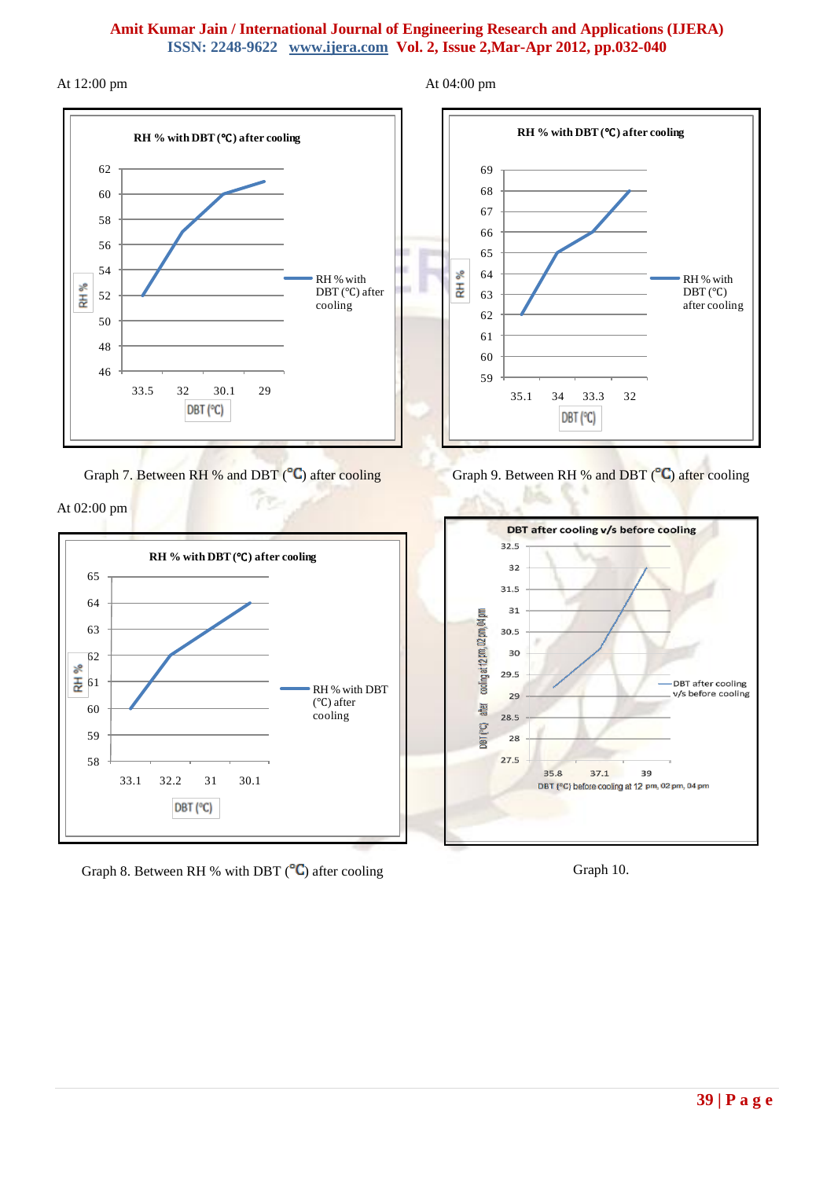#### At 12:00 pm



Graph 7. Between RH % and DBT  $(^{\circ}C)$  after cooling

#### At 02:00 pm



Graph 8. Between RH % with DBT  $(^{\circ}C)$  after cooling





## Graph 9. Between RH  $%$  and DBT ( ${}^{\circ}C$ ) after cooling



Graph 10.